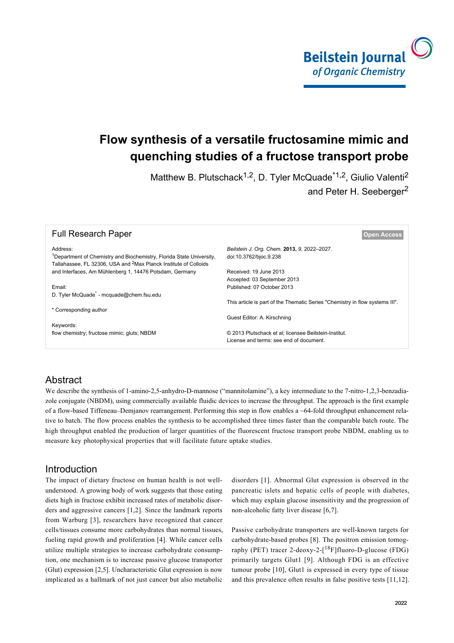

# **Flow synthesis of a versatile fructosamine mimic and quenching studies of a fructose transport probe**

Matthew B. Plutschack<sup>1,2</sup>, D. Tyler McQuade<sup>\*1,2</sup>, Giulio Valenti<sup>2</sup> and Peter H. Seeberger<sup>2</sup>

| <b>Full Research Paper</b>                                                                                                                                       | <b>Open Access</b>                                                           |  |
|------------------------------------------------------------------------------------------------------------------------------------------------------------------|------------------------------------------------------------------------------|--|
| Address:                                                                                                                                                         | Beilstein J. Org. Chem. 2013, 9, 2022-2027.                                  |  |
| <sup>1</sup> Department of Chemistry and Biochemistry, Florida State University,<br>Tallahassee. FL 32306. USA and <sup>2</sup> Max Planck Institute of Colloids | doi:10.3762/bjoc.9.238                                                       |  |
| and Interfaces, Am Mühlenberg 1, 14476 Potsdam, Germany                                                                                                          | Received: 19 June 2013                                                       |  |
|                                                                                                                                                                  | Accepted: 03 September 2013                                                  |  |
| Email:                                                                                                                                                           | Published: 07 October 2013                                                   |  |
| D. Tyler McQuade <sup>*</sup> - mcquade@chem.fsu.edu                                                                                                             |                                                                              |  |
|                                                                                                                                                                  | This article is part of the Thematic Series "Chemistry in flow systems III". |  |
| * Corresponding author                                                                                                                                           |                                                                              |  |
|                                                                                                                                                                  | Guest Editor: A. Kirschning                                                  |  |
| Keywords:                                                                                                                                                        |                                                                              |  |
| flow chemistry; fructose mimic; gluts; NBDM                                                                                                                      | © 2013 Plutschack et al; licensee Beilstein-Institut.                        |  |
|                                                                                                                                                                  | License and terms: see end of document.                                      |  |
|                                                                                                                                                                  |                                                                              |  |

## Abstract

We describe the synthesis of 1-amino-2,5-anhydro-D-mannose ("mannitolamine"), a key intermediate to the 7-nitro-1,2,3-benzadiazole conjugate (NBDM), using commercially available fluidic devices to increase the throughput. The approach is the first example of a flow-based Tiffeneau–Demjanov rearrangement. Performing this step in flow enables a ~64-fold throughput enhancement relative to batch. The flow process enables the synthesis to be accomplished three times faster than the comparable batch route. The high throughput enabled the production of larger quantities of the fluorescent fructose transport probe NBDM, enabling us to measure key photophysical properties that will facilitate future uptake studies.

#### Introduction

The impact of dietary fructose on human health is not wellunderstood. A growing body of work suggests that those eating diets high in fructose exhibit increased rates of metabolic disorders and aggressive cancers [\[1,2\].](#page-4-0) Since the landmark reports from Warburg [\[3\]](#page-5-0), researchers have recognized that cancer cells/tissues consume more carbohydrates than normal tissues, fueling rapid growth and proliferation [\[4\]](#page-5-1). While cancer cells utilize multiple strategies to increase carbohydrate consumption, one mechanism is to increase passive glucose transporter (Glut) expression [\[2,5\]](#page-4-1). Uncharacteristic Glut expression is now implicated as a hallmark of not just cancer but also metabolic

disorders [\[1\]](#page-4-0). Abnormal Glut expression is observed in the pancreatic islets and hepatic cells of people with diabetes, which may explain glucose insensitivity and the progression of non-alcoholic fatty liver disease [\[6,7\]](#page-5-2).

Passive carbohydrate transporters are well-known targets for carbohydrate-based probes [\[8\]](#page-5-3). The positron emission tomography (PET) tracer 2-deoxy-2- $[^{18}F]$ fluoro-D-glucose (FDG) primarily targets Glut1 [\[9\]](#page-5-4). Although FDG is an effective tumour probe [\[10\]](#page-5-5), Glut1 is expressed in every type of tissue and this prevalence often results in false positive tests [\[11,12\]](#page-5-6).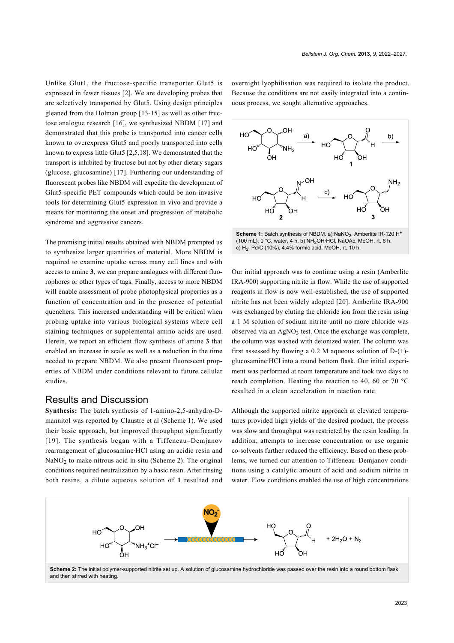Unlike Glut1, the fructose-specific transporter Glut5 is expressed in fewer tissues [\[2\]](#page-4-1). We are developing probes that are selectively transported by Glut5. Using design principles gleaned from the Holman group [\[13-15\]](#page-5-7) as well as other fructose analogue research [\[16\],](#page-5-8) we synthesized NBDM [\[17\]](#page-5-9) and demonstrated that this probe is transported into cancer cells known to overexpress Glut5 and poorly transported into cells known to express little Glut5 [\[2,5,18\].](#page-4-1) We demonstrated that the transport is inhibited by fructose but not by other dietary sugars (glucose, glucosamine) [\[17\]](#page-5-9). Furthering our understanding of fluorescent probes like NBDM will expedite the development of Glut5-specific PET compounds which could be non-invasive tools for determining Glut5 expression in vivo and provide a means for monitoring the onset and progression of metabolic syndrome and aggressive cancers.

The promising initial results obtained with NBDM prompted us to synthesize larger quantities of material. More NBDM is required to examine uptake across many cell lines and with access to amine **3**, we can prepare analogues with different fluorophores or other types of tags. Finally, access to more NBDM will enable assessment of probe photophysical properties as a function of concentration and in the presence of potential quenchers. This increased understanding will be critical when probing uptake into various biological systems where cell staining techniques or supplemental amino acids are used. Herein, we report an efficient flow synthesis of amine **3** that enabled an increase in scale as well as a reduction in the time needed to prepare NBDM. We also present fluorescent properties of NBDM under conditions relevant to future cellular studies.

#### Results and Discussion

**Synthesis:** The batch synthesis of 1-amino-2,5-anhydro-Dmannitol was reported by Claustre et al [\(Scheme 1\)](#page-1-0). We used their basic approach, but improved throughput significantly [\[19\]](#page-5-10). The synthesis began with a Tiffeneau–Demjanov rearrangement of glucosamine·HCl using an acidic resin and  $\text{NaNO}_2$  to make nitrous acid in situ [\(Scheme 2\)](#page-1-1). The original conditions required neutralization by a basic resin. After rinsing both resins, a dilute aqueous solution of **1** resulted and

overnight lyophilisation was required to isolate the product. Because the conditions are not easily integrated into a continuous process, we sought alternative approaches.

<span id="page-1-0"></span>

Our initial approach was to continue using a resin (Amberlite IRA-900) supporting nitrite in flow. While the use of supported reagents in flow is now well-established, the use of supported nitrite has not been widely adopted [\[20\]](#page-5-11). Amberlite IRA-900 was exchanged by eluting the chloride ion from the resin using a 1 M solution of sodium nitrite until no more chloride was observed via an  $AgNO_3$  test. Once the exchange was complete, the column was washed with deionized water. The column was first assessed by flowing a 0.2 M aqueous solution of  $D-(+)$ glucosamine·HCl into a round bottom flask. Our initial experiment was performed at room temperature and took two days to reach completion. Heating the reaction to 40, 60 or 70 °C resulted in a clean acceleration in reaction rate.

Although the supported nitrite approach at elevated temperatures provided high yields of the desired product, the process was slow and throughput was restricted by the resin loading. In addition, attempts to increase concentration or use organic co-solvents further reduced the efficiency. Based on these problems, we turned our attention to Tiffeneau–Demjanov conditions using a catalytic amount of acid and sodium nitrite in water. Flow conditions enabled the use of high concentrations

<span id="page-1-1"></span>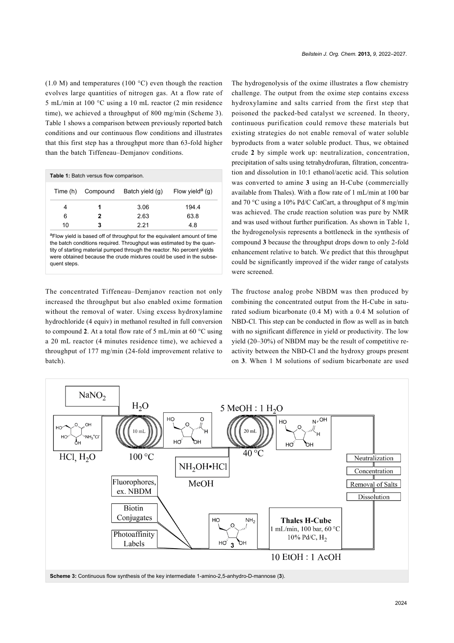(1.0 M) and temperatures (100 °C) even though the reaction evolves large quantities of nitrogen gas. At a flow rate of 5 mL/min at 100 °C using a 10 mL reactor (2 min residence time), we achieved a throughput of 800 mg/min ([Scheme 3\)](#page-2-0). [Table 1](#page-2-1) shows a comparison between previously reported batch conditions and our continuous flow conditions and illustrates that this first step has a throughput more than 63-fold higher than the batch Tiffeneau–Demjanov conditions.

<span id="page-2-1"></span>

| Table 1: Batch versus flow comparison.                                                                                                                                                                                                                                                                                          |          |                 |                             |  |
|---------------------------------------------------------------------------------------------------------------------------------------------------------------------------------------------------------------------------------------------------------------------------------------------------------------------------------|----------|-----------------|-----------------------------|--|
| Time (h)                                                                                                                                                                                                                                                                                                                        | Compound | Batch yield (q) | Flow yield <sup>a</sup> (g) |  |
| 4                                                                                                                                                                                                                                                                                                                               |          | 3.06            | 194.4                       |  |
| 6                                                                                                                                                                                                                                                                                                                               | 2        | 2.63            | 63.8                        |  |
| 10                                                                                                                                                                                                                                                                                                                              | 3        | 221             | 4.8                         |  |
| <sup>a</sup> Flow yield is based off of throughput for the equivalent amount of time<br>the batch conditions required. Throughput was estimated by the quan-<br>tity of starting material pumped through the reactor. No percent yields<br>were obtained because the crude mixtures could be used in the subse-<br>quent steps. |          |                 |                             |  |

The concentrated Tiffeneau–Demjanov reaction not only increased the throughput but also enabled oxime formation without the removal of water. Using excess hydroxylamine hydrochloride (4 equiv) in methanol resulted in full conversion to compound **2**. At a total flow rate of 5 mL/min at 60 °C using a 20 mL reactor (4 minutes residence time), we achieved a throughput of 177 mg/min (24-fold improvement relative to batch).

The hydrogenolysis of the oxime illustrates a flow chemistry challenge. The output from the oxime step contains excess hydroxylamine and salts carried from the first step that poisoned the packed-bed catalyst we screened. In theory, continuous purification could remove these materials but existing strategies do not enable removal of water soluble byproducts from a water soluble product. Thus, we obtained crude **2** by simple work up: neutralization, concentration, precipitation of salts using tetrahydrofuran, filtration, concentration and dissolution in 10:1 ethanol/acetic acid. This solution was converted to amine **3** using an H-Cube (commercially available from Thales). With a flow rate of 1 mL/min at 100 bar and 70 °C using a 10% Pd/C CatCart, a throughput of 8 mg/min was achieved. The crude reaction solution was pure by NMR and was used without further purification. As shown in [Table 1](#page-2-1), the hydrogenolysis represents a bottleneck in the synthesis of compound **3** because the throughput drops down to only 2-fold enhancement relative to batch. We predict that this throughput could be significantly improved if the wider range of catalysts were screened.

The fructose analog probe NBDM was then produced by combining the concentrated output from the H-Cube in saturated sodium bicarbonate (0.4 M) with a 0.4 M solution of NBD-Cl. This step can be conducted in flow as well as in batch with no significant difference in yield or productivity. The low yield (20–30%) of NBDM may be the result of competitive reactivity between the NBD-Cl and the hydroxy groups present on **3**. When 1 M solutions of sodium bicarbonate are used

<span id="page-2-0"></span>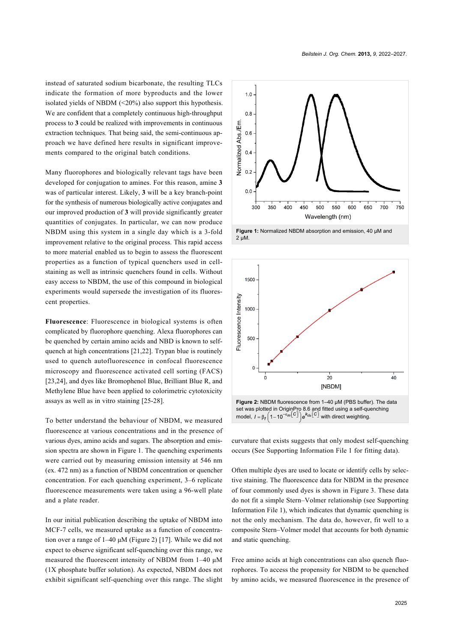instead of saturated sodium bicarbonate, the resulting TLCs indicate the formation of more byproducts and the lower isolated yields of NBDM (<20%) also support this hypothesis. We are confident that a completely continuous high-throughput process to **3** could be realized with improvements in continuous extraction techniques. That being said, the semi-continuous approach we have defined here results in significant improvements compared to the original batch conditions.

Many fluorophores and biologically relevant tags have been developed for conjugation to amines. For this reason, amine **3** was of particular interest. Likely, **3** will be a key branch-point for the synthesis of numerous biologically active conjugates and our improved production of **3** will provide significantly greater quantities of conjugates. In particular, we can now produce NBDM using this system in a single day which is a 3-fold improvement relative to the original process. This rapid access to more material enabled us to begin to assess the fluorescent properties as a function of typical quenchers used in cellstaining as well as intrinsic quenchers found in cells. Without easy access to NBDM, the use of this compound in biological experiments would supersede the investigation of its fluorescent properties.

**Fluorescence**: Fluorescence in biological systems is often complicated by fluorophore quenching. Alexa fluorophores can be quenched by certain amino acids and NBD is known to selfquench at high concentrations [\[21,22\]](#page-5-12). Trypan blue is routinely used to quench autofluorescence in confocal fluorescence microscopy and fluorescence activated cell sorting (FACS) [\[23,24\]](#page-5-13), and dyes like Bromophenol Blue, Brilliant Blue R, and Methylene Blue have been applied to colorimetric cytotoxicity assays as well as in vitro staining [\[25-28\]](#page-5-14).

To better understand the behaviour of NBDM, we measured fluorescence at various concentrations and in the presence of various dyes, amino acids and sugars. The absorption and emission spectra are shown in [Figure 1](#page-3-0). The quenching experiments were carried out by measuring emission intensity at 546 nm (ex. 472 nm) as a function of NBDM concentration or quencher concentration. For each quenching experiment, 3–6 replicate fluorescence measurements were taken using a 96-well plate and a plate reader.

In our initial publication describing the uptake of NBDM into MCF-7 cells, we measured uptake as a function of concentration over a range of 1–40 μM [\(Figure 2](#page-3-1)) [\[17\].](#page-5-9) While we did not expect to observe significant self-quenching over this range, we measured the fluorescent intensity of NBDM from 1–40 μM (1X phosphate buffer solution). As expected, NBDM does not exhibit significant self-quenching over this range. The slight

<span id="page-3-0"></span>



<span id="page-3-1"></span>

curvature that exists suggests that only modest self-quenching occurs (See [Supporting Information File 1](#page-4-2) for fitting data).

Often multiple dyes are used to locate or identify cells by selective staining. The fluorescence data for NBDM in the presence of four commonly used dyes is shown in [Figure 3](#page-4-3). These data do not fit a simple Stern–Volmer relationship (see [Supporting](#page-4-2) [Information File 1\)](#page-4-2), which indicates that dynamic quenching is not the only mechanism. The data do, however, fit well to a composite Stern–Volmer model that accounts for both dynamic and static quenching.

Free amino acids at high concentrations can also quench fluorophores. To access the propensity for NBDM to be quenched by amino acids, we measured fluorescence in the presence of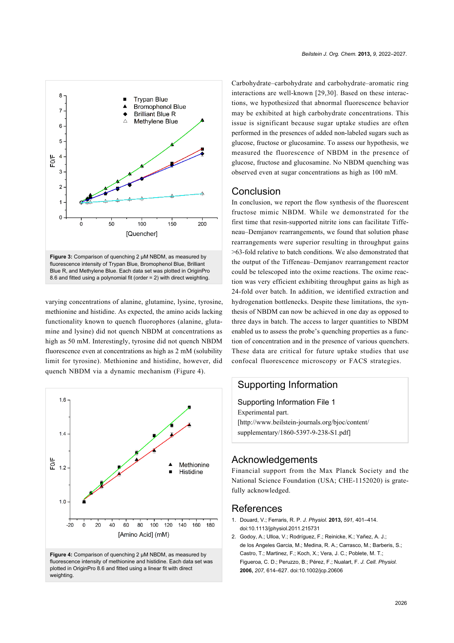<span id="page-4-3"></span>

varying concentrations of alanine, glutamine, lysine, tyrosine, methionine and histidine. As expected, the amino acids lacking functionality known to quench fluorophores (alanine, glutamine and lysine) did not quench NBDM at concentrations as high as 50 mM. Interestingly, tyrosine did not quench NBDM fluorescence even at concentrations as high as 2 mM (solubility limit for tyrosine). Methionine and histidine, however, did quench NBDM via a dynamic mechanism ([Figure 4](#page-4-4)).

<span id="page-4-4"></span>

fluorescence intensity of methionine and histidine. Each data set was plotted in OriginPro 8.6 and fitted using a linear fit with direct weighting

Carbohydrate–carbohydrate and carbohydrate–aromatic ring interactions are well-known [\[29,30\].](#page-5-15) Based on these interactions, we hypothesized that abnormal fluorescence behavior may be exhibited at high carbohydrate concentrations. This issue is significant because sugar uptake studies are often performed in the presences of added non-labeled sugars such as glucose, fructose or glucosamine. To assess our hypothesis, we measured the fluorescence of NBDM in the presence of glucose, fructose and glucosamine. No NBDM quenching was observed even at sugar concentrations as high as 100 mM.

## Conclusion

In conclusion, we report the flow synthesis of the fluorescent fructose mimic NBDM. While we demonstrated for the first time that resin-supported nitrite ions can facilitate Tiffeneau–Demjanov rearrangements, we found that solution phase rearrangements were superior resulting in throughput gains >63-fold relative to batch conditions. We also demonstrated that the output of the Tiffeneau–Demjanov rearrangement reactor could be telescoped into the oxime reactions. The oxime reaction was very efficient exhibiting throughput gains as high as 24-fold over batch. In addition, we identified extraction and hydrogenation bottlenecks. Despite these limitations, the synthesis of NBDM can now be achieved in one day as opposed to three days in batch. The access to larger quantities to NBDM enabled us to assess the probe's quenching properties as a function of concentration and in the presence of various quenchers. These data are critical for future uptake studies that use confocal fluorescence microscopy or FACS strategies.

## Supporting Information

<span id="page-4-2"></span>Supporting Information File 1 Experimental part. [\[http://www.beilstein-journals.org/bjoc/content/](http://www.beilstein-journals.org/bjoc/content/supplementary/1860-5397-9-238-S1.pdf) [supplementary/1860-5397-9-238-S1.pdf\]](http://www.beilstein-journals.org/bjoc/content/supplementary/1860-5397-9-238-S1.pdf)

#### Acknowledgements

Financial support from the Max Planck Society and the National Science Foundation (USA; CHE-1152020) is gratefully acknowledged.

#### References

- <span id="page-4-0"></span>1. Douard, V.; Ferraris, R. P. *J. Physiol.* **2013,** *591,* 401–414. [doi:10.1113/jphysiol.2011.215731](http://dx.doi.org/10.1113%2Fjphysiol.2011.215731)
- <span id="page-4-1"></span>2. Godoy, A.; Ulloa, V.; Rodríguez, F.; Reinicke, K.; Yañez, A. J.; de los Angeles Garcia, M.; Medina, R. A.; Carrasco, M.; Barberis, S.; Castro, T.; Martinez, F.; Koch, X.; Vera, J. C.; Poblete, M. T.; Figueroa, C. D.; Peruzzo, B.; Pérez, F.; Nualart, F. *J. Cell. Physiol.* **2006,** *207,* 614–627. [doi:10.1002/jcp.20606](http://dx.doi.org/10.1002%2Fjcp.20606)